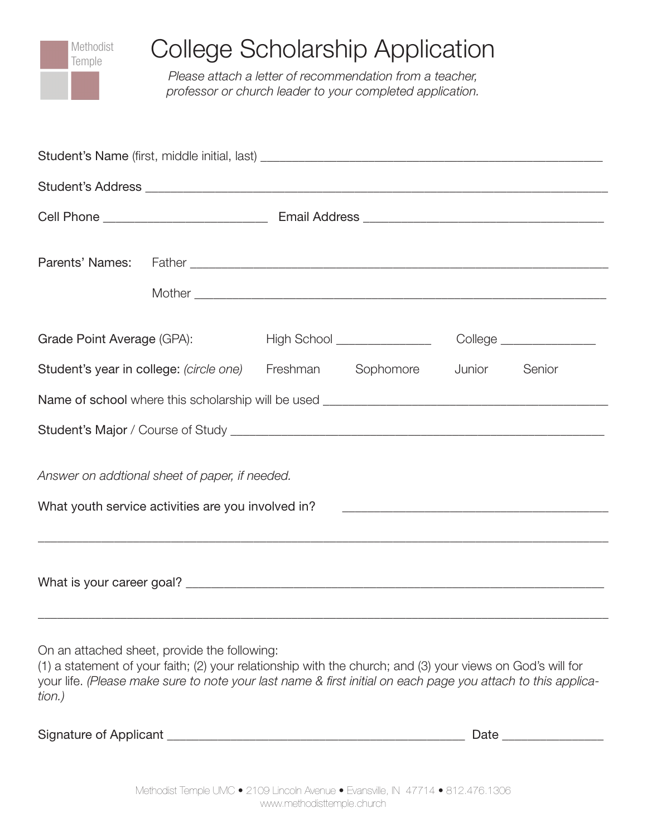

| 0.000.000 0.000.000 0.0000 0.000 0.000 0.000 0.000 0.000 0.000 0.000 0.000 0.000 0.000 0.000 0.000 0.000 0.000 |  |          |                              |        |                         |  |
|----------------------------------------------------------------------------------------------------------------|--|----------|------------------------------|--------|-------------------------|--|
|                                                                                                                |  |          |                              |        |                         |  |
|                                                                                                                |  |          |                              |        |                         |  |
|                                                                                                                |  |          |                              |        |                         |  |
| Grade Point Average (GPA):                                                                                     |  |          | High School ________________ |        | College _______________ |  |
| Student's year in college: (circle one)                                                                        |  | Freshman | Sophomore                    | Junior | Senior                  |  |
|                                                                                                                |  |          |                              |        |                         |  |
|                                                                                                                |  |          |                              |        |                         |  |
| Answer on addtional sheet of paper, if needed.                                                                 |  |          |                              |        |                         |  |
| What youth service activities are you involved in?                                                             |  |          |                              |        |                         |  |
|                                                                                                                |  |          |                              |        |                         |  |

On an attached sheet, provide the following:

(1) a statement of your faith; (2) your relationship with the church; and (3) your views on God's will for your life. *(Please make sure to note your last name & first initial on each page you attach to this application.)*

\_\_\_\_\_\_\_\_\_\_\_\_\_\_\_\_\_\_\_\_\_\_\_\_\_\_\_\_\_\_\_\_\_\_\_\_\_\_\_\_\_\_\_\_\_\_\_\_\_\_\_\_\_\_\_\_\_\_\_\_\_\_\_\_\_\_\_\_\_\_\_\_\_\_\_\_\_\_\_\_\_\_\_\_\_\_\_\_\_\_

| Signature of Applicant |  |
|------------------------|--|
|                        |  |